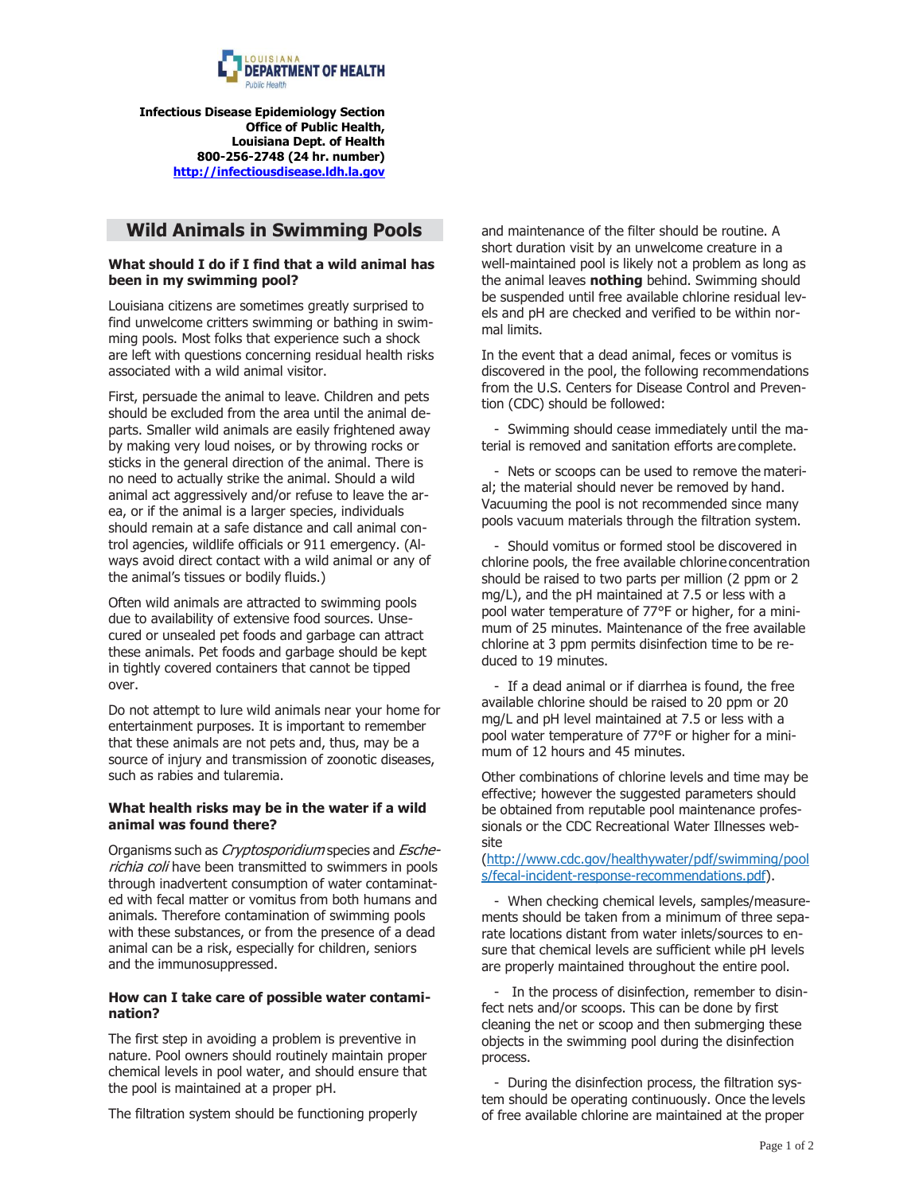

**Infectious Disease Epidemiology Section Office of Public Health, Louisiana Dept. of Health 800-256-2748 (24 hr. number) [http://infectiousdisease.ldh.la.gov](http://infectiousdisease.ldh.la.gov/)**

# **Wild Animals in Swimming Pools**

### **What should I do if I find that a wild animal has been in my swimming pool?**

Louisiana citizens are sometimes greatly surprised to find unwelcome critters swimming or bathing in swimming pools. Most folks that experience such a shock are left with questions concerning residual health risks associated with a wild animal visitor.

First, persuade the animal to leave. Children and pets should be excluded from the area until the animal departs. Smaller wild animals are easily frightened away by making very loud noises, or by throwing rocks or sticks in the general direction of the animal. There is no need to actually strike the animal. Should a wild animal act aggressively and/or refuse to leave the area, or if the animal is a larger species, individuals should remain at a safe distance and call animal control agencies, wildlife officials or 911 emergency. (Always avoid direct contact with a wild animal or any of the animal's tissues or bodily fluids.)

Often wild animals are attracted to swimming pools due to availability of extensive food sources. Unsecured or unsealed pet foods and garbage can attract these animals. Pet foods and garbage should be kept in tightly covered containers that cannot be tipped over.

Do not attempt to lure wild animals near your home for entertainment purposes. It is important to remember that these animals are not pets and, thus, may be a source of injury and transmission of zoonotic diseases, such as rabies and tularemia.

### **What health risks may be in the water if a wild animal was found there?**

Organisms such as Cryptosporidium species and Escherichia coli have been transmitted to swimmers in pools through inadvertent consumption of water contaminated with fecal matter or vomitus from both humans and animals. Therefore contamination of swimming pools with these substances, or from the presence of a dead animal can be a risk, especially for children, seniors and the immunosuppressed.

#### **How can I take care of possible water contamination?**

The first step in avoiding a problem is preventive in nature. Pool owners should routinely maintain proper chemical levels in pool water, and should ensure that the pool is maintained at a proper pH.

The filtration system should be functioning properly

and maintenance of the filter should be routine. A short duration visit by an unwelcome creature in a well-maintained pool is likely not a problem as long as the animal leaves **nothing** behind. Swimming should be suspended until free available chlorine residual levels and pH are checked and verified to be within normal limits.

In the event that a dead animal, feces or vomitus is discovered in the pool, the following recommendations from the U.S. Centers for Disease Control and Prevention (CDC) should be followed:

- Swimming should cease immediately until the material is removed and sanitation efforts are complete.

- Nets or scoops can be used to remove the material; the material should never be removed by hand. Vacuuming the pool is not recommended since many pools vacuum materials through the filtration system.

- Should vomitus or formed stool be discovered in chlorine pools, the free available chlorine concentration should be raised to two parts per million (2 ppm or 2 mg/L), and the pH maintained at 7.5 or less with a pool water temperature of 77°F or higher, for a minimum of 25 minutes. Maintenance of the free available chlorine at 3 ppm permits disinfection time to be reduced to 19 minutes.

- If a dead animal or if diarrhea is found, the free available chlorine should be raised to 20 ppm or 20 mg/L and pH level maintained at 7.5 or less with a pool water temperature of 77°F or higher for a minimum of 12 hours and 45 minutes.

Other combinations of chlorine levels and time may be effective; however the suggested parameters should be obtained from reputable pool maintenance professionals or the CDC Recreational Water Illnesses website

[\(http://www.cdc.gov/healthywater/pdf/swimming/pool](http://www.cdc.gov/healthywater/pdf/swimming/pool) s/fecal-incident-response-recommendations.pdf).

- When checking chemical levels, samples/measurements should be taken from a minimum of three separate locations distant from water inlets/sources to ensure that chemical levels are sufficient while pH levels are properly maintained throughout the entire pool.

- In the process of disinfection, remember to disinfect nets and/or scoops. This can be done by first cleaning the net or scoop and then submerging these objects in the swimming pool during the disinfection process.

- During the disinfection process, the filtration system should be operating continuously. Once the levels of free available chlorine are maintained at the proper